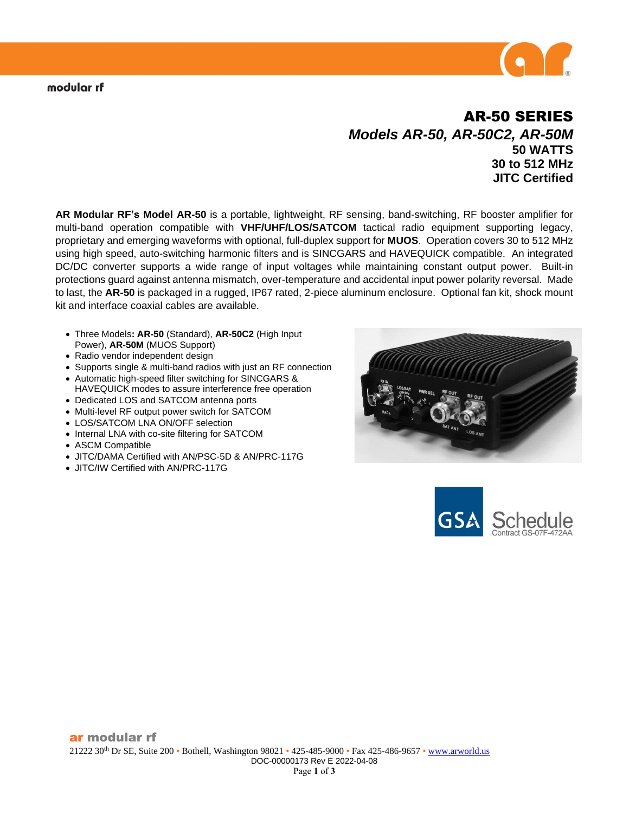# AR-50 SERIES *Models AR-50, AR-50C2, AR-50M* **50 WATTS 30 to 512 MHz JITC Certified**

**AR Modular RF's Model AR-50** is a portable, lightweight, RF sensing, band-switching, RF booster amplifier for multi-band operation compatible with **VHF/UHF/LOS/SATCOM** tactical radio equipment supporting legacy, proprietary and emerging waveforms with optional, full-duplex support for **MUOS**. Operation covers 30 to 512 MHz using high speed, auto-switching harmonic filters and is SINCGARS and HAVEQUICK compatible. An integrated DC/DC converter supports a wide range of input voltages while maintaining constant output power. Built-in protections guard against antenna mismatch, over-temperature and accidental input power polarity reversal. Made to last, the **AR-50** is packaged in a rugged, IP67 rated, 2-piece aluminum enclosure. Optional fan kit, shock mount kit and interface coaxial cables are available.

- Three Models**: AR-50** (Standard), **AR-50C2** (High Input Power), **AR-50M** (MUOS Support)
- Radio vendor independent design
- Supports single & multi-band radios with just an RF connection
- Automatic high-speed filter switching for SINCGARS & HAVEQUICK modes to assure interference free operation
- Dedicated LOS and SATCOM antenna ports
- Multi-level RF output power switch for SATCOM
- LOS/SATCOM LNA ON/OFF selection
- Internal LNA with co-site filtering for SATCOM
- ASCM Compatible
- JITC/DAMA Certified with AN/PSC-5D & AN/PRC-117G
- JITC/IW Certified with AN/PRC-117G



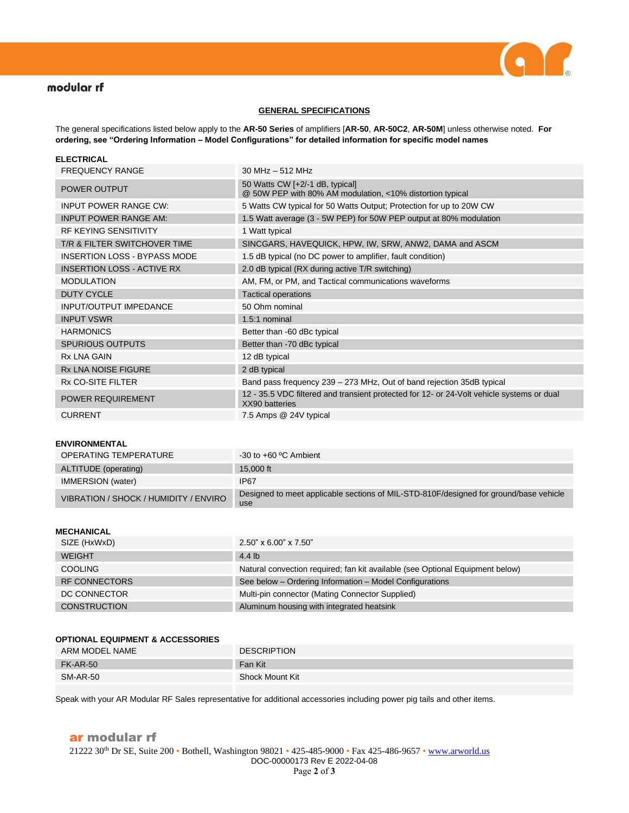

## modular rf

#### **GENERAL SPECIFICATIONS**

The general specifications listed below apply to the **AR-50 Series** of amplifiers [**AR-50**, **AR-50C2**, **AR-50M**] unless otherwise noted. **For ordering, see "Ordering Information – Model Configurations" for detailed information for specific model names**

| <b>ELECTRICAL</b>                   |                                                                                                             |
|-------------------------------------|-------------------------------------------------------------------------------------------------------------|
| <b>FREQUENCY RANGE</b>              | $30$ MHz $-$ 512 MHz                                                                                        |
| <b>POWER OUTPUT</b>                 | 50 Watts CW [+2/-1 dB, typical]<br>@ 50W PEP with 80% AM modulation, <10% distortion typical                |
| <b>INPUT POWER RANGE CW:</b>        | 5 Watts CW typical for 50 Watts Output; Protection for up to 20W CW                                         |
| <b>INPUT POWER RANGE AM:</b>        | 1.5 Watt average (3 - 5W PEP) for 50W PEP output at 80% modulation                                          |
| <b>RF KEYING SENSITIVITY</b>        | 1 Watt typical                                                                                              |
| T/R & FILTER SWITCHOVER TIME        | SINCGARS, HAVEQUICK, HPW, IW, SRW, ANW2, DAMA and ASCM                                                      |
| <b>INSERTION LOSS - BYPASS MODE</b> | 1.5 dB typical (no DC power to amplifier, fault condition)                                                  |
| <b>INSERTION LOSS - ACTIVE RX</b>   | 2.0 dB typical (RX during active T/R switching)                                                             |
| <b>MODULATION</b>                   | AM, FM, or PM, and Tactical communications waveforms                                                        |
| <b>DUTY CYCLE</b>                   | <b>Tactical operations</b>                                                                                  |
| <b>INPUT/OUTPUT IMPEDANCE</b>       | 50 Ohm nominal                                                                                              |
| <b>INPUT VSWR</b>                   | 1.5:1 nominal                                                                                               |
| <b>HARMONICS</b>                    | Better than -60 dBc typical                                                                                 |
| <b>SPURIOUS OUTPUTS</b>             | Better than -70 dBc typical                                                                                 |
| <b>Rx LNA GAIN</b>                  | 12 dB typical                                                                                               |
| <b>Rx LNA NOISE FIGURE</b>          | 2 dB typical                                                                                                |
| <b>Rx CO-SITE FILTER</b>            | Band pass frequency 239 - 273 MHz, Out of band rejection 35dB typical                                       |
| POWER REQUIREMENT                   | 12 - 35.5 VDC filtered and transient protected for 12- or 24-Volt vehicle systems or dual<br>XX90 batteries |
| <b>CURRENT</b>                      | 7.5 Amps @ 24V typical                                                                                      |

#### **ENVIRONMENTAL**

| <b>OPERATING TEMPERATURE</b>          | $-30$ to $+60$ °C Ambient                                                                    |
|---------------------------------------|----------------------------------------------------------------------------------------------|
| ALTITUDE (operating)                  | 15,000 ft                                                                                    |
| <b>IMMERSION</b> (water)              | IP67                                                                                         |
| VIBRATION / SHOCK / HUMIDITY / ENVIRO | Designed to meet applicable sections of MIL-STD-810F/designed for ground/base vehicle<br>use |

### **MECHANICAL**

| SIZE (HxWxD)        | $2.50$ " x 6.00" x 7.50"                                                      |
|---------------------|-------------------------------------------------------------------------------|
| <b>WEIGHT</b>       | 4.4 lb                                                                        |
| <b>COOLING</b>      | Natural convection required; fan kit available (see Optional Equipment below) |
| RF CONNECTORS       | See below - Ordering Information - Model Configurations                       |
| DC CONNECTOR        | Multi-pin connector (Mating Connector Supplied)                               |
| <b>CONSTRUCTION</b> | Aluminum housing with integrated heatsink                                     |

#### **OPTIONAL EQUIPMENT & ACCESSORIES**

| ARM MODEL NAME  | <b>DESCRIPTION</b> |
|-----------------|--------------------|
| <b>FK-AR-50</b> | Fan Kit            |
| <b>SM-AR-50</b> | Shock Mount Kit    |

Speak with your AR Modular RF Sales representative for additional accessories including power pig tails and other items.

### ar modular rf 21222 30<sup>th</sup> Dr SE, Suite 200 • Bothell, Washington 98021 • 425-485-9000 • Fax 425-486-9657 [• www.arworld.us](http://www.arworld.us/) DOC-00000173 Rev E 2022-04-08 Page **2** of **3**